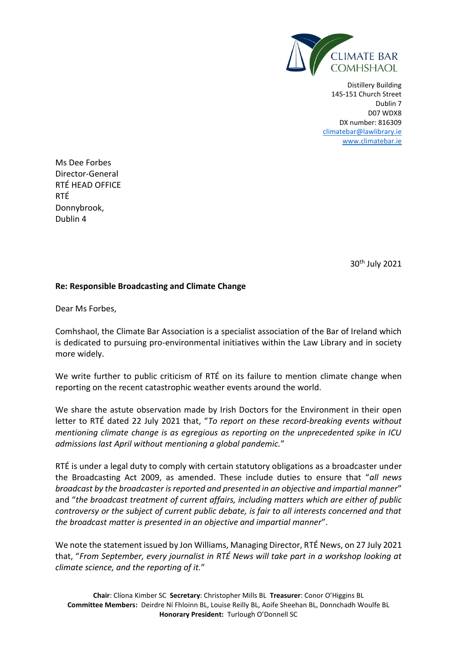

Distillery Building 145-151 Church Street Dublin 7 D07 WDX8 DX number: 816309 [climatebar@lawlibrary.ie](mailto:climatebar@lawlibrary.ie) [www.climatebar.ie](http://www.climatebar.ie/)

Ms Dee Forbes Director-General RTÉ HEAD OFFICE RTÉ Donnybrook, Dublin 4

30<sup>th</sup> July 2021

## **Re: Responsible Broadcasting and Climate Change**

Dear Ms Forbes,

Comhshaol, the Climate Bar Association is a specialist association of the Bar of Ireland which is dedicated to pursuing pro-environmental initiatives within the Law Library and in society more widely.

We write further to public criticism of RTÉ on its failure to mention climate change when reporting on the recent catastrophic weather events around the world.

We share the astute observation made by Irish Doctors for the Environment in their open letter to RTÉ dated 22 July 2021 that, "*To report on these record-breaking events without mentioning climate change is as egregious as reporting on the unprecedented spike in ICU admissions last April without mentioning a global pandemic.*"

RTÉ is under a legal duty to comply with certain statutory obligations as a broadcaster under the Broadcasting Act 2009, as amended. These include duties to ensure that "*all news broadcast by the broadcaster is reported and presented in an objective and impartial manner*" and "*the broadcast treatment of current affairs, including matters which are either of public controversy or the subject of current public debate, is fair to all interests concerned and that the broadcast matter is presented in an objective and impartial manner*".

We note the statement issued by Jon Williams, Managing Director, RTÉ News, on 27 July 2021 that, "*From September, every journalist in RTÉ News will take part in a workshop looking at climate science, and the reporting of it.*"